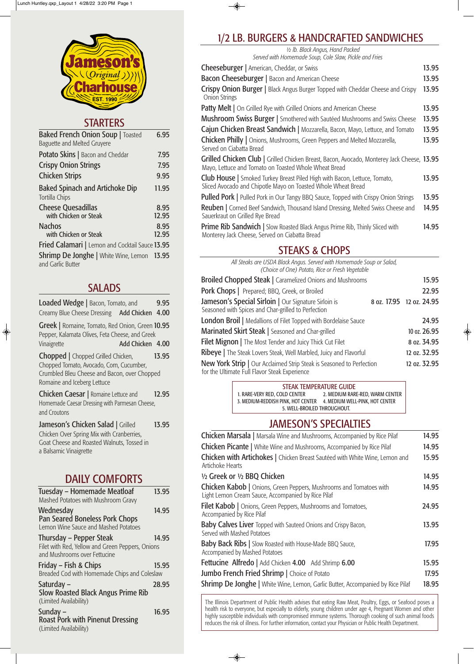| <b>Baked French Onion Soup</b>   Toasted<br><b>Baguette and Melted Gruyere</b> | 6.95          |
|--------------------------------------------------------------------------------|---------------|
| <b>Potato Skins</b>   Bacon and Cheddar                                        | 7.95          |
| <b>Crispy Onion Strings</b>                                                    | 7.95          |
| <b>Chicken Strips</b>                                                          | 9.95          |
| <b>Baked Spinach and Artichoke Dip</b><br>Tortilla Chips                       | 11.95         |
| <b>Cheese Quesadillas</b><br>with Chicken or Steak                             | 8.95<br>12.95 |
| <b>Nachos</b>                                                                  | 8.95          |
| with Chicken or Steak                                                          | 12.95         |
| <b>Fried Calamari</b>   Lemon and Cocktail Sauce 13.95                         |               |
| <b>Shrimp De Jonghe</b>   White Wine, Lemon 13.95<br>and Garlic Butter         |               |

Chopped | Chopped Grilled Chicken, 13.95 Chopped Tomato, Avocado, Corn, Cucumber, Crumbled Bleu Cheese and Bacon, over Chopped Romaine and Iceberg Lettuce

# SALADS

**Chicken Caesar** | Romaine Lettuce and 12.95 Homemade Caesar Dressing with Parmesan Cheese, and Croutons

| Loaded Wedge   Bacon, Tomato, and            |  | 9.95 |
|----------------------------------------------|--|------|
| Creamy Blue Cheese Dressing Add Chicken 4.00 |  |      |

Greek | Romaine, Tomato, Red Onion, Green 10.95 Pepper, Kalamata Olives, Feta Cheese, and Greek Vinaigrette **Add Chicken 4.00** 

♦

Jameson's Chicken Salad | Grilled 13.95 Chicken Over Spring Mix with Cranberries, Goat Cheese and Roasted Walnuts, Tossed in a Balsamic Vinaigrette

Friday – Fish & Chips 15.95 Breaded Cod with Homemade Chips and Coleslaw

# DAILY COMFORTS

| Tuesday - Homemade Meatloaf             | 13.95 |
|-----------------------------------------|-------|
| Mashed Potatoes with Mushroom Gravy     |       |
| Wednesday                               | 14.95 |
| Pan Seared Boneless Pork Chops          |       |
| Lousse Miss Course and Maghard Detatage |       |

Lemon Wine Sauce and Mashed Potatoes

Thursday – Pepper Steak 14.95 Filet with Red, Yellow and Green Peppers, Onions and Mushrooms over Fettucine

Saturday – 28.95 Slow Roasted Black Angus Prime Rib (Limited Availability)

Sunday – 16.95 Roast Pork with Pinenut Dressing (Limited Availability)

# 1/2 LB. BURGERS & HANDCRAFTED SANDWICHES

◈

*½ lb. Black Angus, Hand Packed Served with Homemade Soup, Cole Slaw, Pickle and Fries*

| <b>Cheeseburger</b>   American, Cheddar, or Swiss                                                                                                   | 13.95 |
|-----------------------------------------------------------------------------------------------------------------------------------------------------|-------|
| <b>Bacon Cheeseburger   Bacon and American Cheese</b>                                                                                               | 13.95 |
| Crispy Onion Burger   Black Angus Burger Topped with Cheddar Cheese and Crispy<br><b>Onion Strings</b>                                              | 13.95 |
| <b>Patty Melt</b>   On Grilled Rye with Grilled Onions and American Cheese                                                                          | 13.95 |
| <b>Mushroom Swiss Burger</b>   Smothered with Sautéed Mushrooms and Swiss Cheese                                                                    | 13.95 |
| Cajun Chicken Breast Sandwich   Mozzarella, Bacon, Mayo, Lettuce, and Tomato                                                                        | 13.95 |
| <b>Chicken Philly</b>   Onions, Mushrooms, Green Peppers and Melted Mozzarella,<br>Served on Ciabatta Bread                                         | 13.95 |
| Grilled Chicken Club   Grilled Chicken Breast, Bacon, Avocado, Monterey Jack Cheese, 13.95<br>Mayo, Lettuce and Tomato on Toasted Whole Wheat Bread |       |
| <b>Club House</b>   Smoked Turkey Breast Piled High with Bacon, Lettuce, Tomato,<br>Sliced Avocado and Chipotle Mayo on Toasted Whole Wheat Bread   | 13.95 |
| <b>Pulled Pork</b>   Pulled Pork in Our Tangy BBQ Sauce, Topped with Crispy Onion Strings                                                           | 13.95 |
| <b>Reuben</b>   Corned Beef Sandwich, Thousand Island Dressing, Melted Swiss Cheese and<br>Sauerkraut on Grilled Rye Bread                          | 14.95 |
| <b>Prime Rib Sandwich</b>   Slow Roasted Black Angus Prime Rib, Thinly Sliced with<br>Monterey Jack Cheese, Served on Ciabatta Bread                | 14.95 |

# STEAKS & CHOPS

*All Steaks are USDA Black Angus. Served with Homemade Soup or Salad, (Choice of One) Potato, Rice or Fresh Vegetable*

| 15.95                    |
|--------------------------|
| 22.95                    |
| 8 oz. 17.95 12 oz. 24.95 |
| 24.95                    |
| 10 oz. 26.95             |
| 8 oz. 34.95              |
| 12 oz. 32.95             |
| 12 oz. 32.95             |
|                          |

◈

# JAMESON'S SPECIALTIES

| <b>Chicken Marsala</b>   Marsala Wine and Mushrooms, Accompanied by Rice Pilaf                                                                                                                                  | 14.95                   |
|-----------------------------------------------------------------------------------------------------------------------------------------------------------------------------------------------------------------|-------------------------|
| <b>Chicken Picante</b>   White Wine and Mushrooms, Accompanied by Rice Pilaf                                                                                                                                    | 14.95                   |
| <b>Chicken with Artichokes</b>   Chicken Breast Sautéed with White Wine, Lemon and<br>Artichoke Hearts                                                                                                          | 15.95                   |
| 1/2 Greek or 1/2 BBQ Chicken                                                                                                                                                                                    | 14.95                   |
| <b>Chicken Kabob</b>   Onions, Green Peppers, Mushrooms and Tomatoes with<br>Light Lemon Cream Sauce, Accompanied by Rice Pilaf                                                                                 | 14.95                   |
| <b>Filet Kabob</b>   Onions, Green Peppers, Mushrooms and Tomatoes,<br>Accompanied by Rice Pilaf                                                                                                                | 24.95                   |
| Baby Calves Liver Topped with Sauteed Onions and Crispy Bacon,<br>Served with Mashed Potatoes                                                                                                                   | 13.95                   |
| <b>Baby Back Ribs</b>   Slow Roasted with House-Made BBQ Sauce,<br>Accompanied by Mashed Potatoes                                                                                                               | 17.95                   |
| <b>Fettucine Alfredo</b>   Add Chicken $4.00$ Add Shrimp $6.00$<br><b>Jumbo French Fried Shrimp</b>   Choice of Potato<br><b>Shrimp De Jonghe</b>   White Wine, Lemon, Garlic Butter, Accompanied by Rice Pilaf | 15.95<br>17.95<br>18.95 |

#### STEAK TEMPERATURE GUIDE 1. RARE-VERY RED, COLD CENTER 2. MEDIUM RARE-RED, WARM CENTER 3. MEDIUM-REDDISH PINK, HOT CENTER 4. MEDIUM WELL-PINK, HOT CENTER 5. WELL-BROILED THROUGHOUT.

The Illinois Department of Public Health advises that eating Raw Meat, Poultry, Eggs, or Seafood poses a health risk to everyone, but especially to elderly, young children under age 4, Pregnant Women and other highly susceptible individuals with compromised immune systems. Thorough cooking of such animal foods reduces the risk of illness. For further information, contact your Physician or Public Health Department.

 $\overline{\bullet}$ 



# **STARTERS**